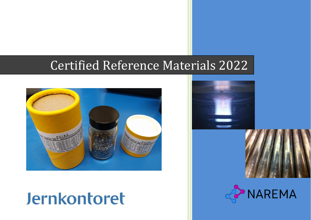# Certified Reference Materials 2022



# Jernkontoret



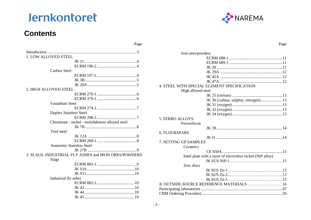## **Contents**





 $\mathbf{r}$ 

| Page                                      |
|-------------------------------------------|
|                                           |
|                                           |
|                                           |
|                                           |
|                                           |
|                                           |
|                                           |
|                                           |
|                                           |
|                                           |
| JK 36 (carbon, sulphur, nitrogen) 13      |
|                                           |
|                                           |
|                                           |
|                                           |
|                                           |
|                                           |
|                                           |
|                                           |
|                                           |
|                                           |
|                                           |
|                                           |
|                                           |
|                                           |
|                                           |
|                                           |
|                                           |
| 8. OUTSIDE-SOURCE REFERENCE MATERIALS  16 |
|                                           |
|                                           |
|                                           |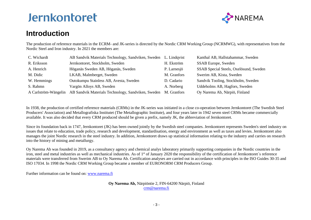

## **Introduction**

The production of reference materials in the ECRM- and JK-series is directed by the Nordic CRM Working Group (NCRMWG), with representatives from the Nordic Steel and Iron industry. In 2021 the members are:

| C. Wichardt | AB Sandvik Materials Technology, Sandviken, Sweden L. Lindqvist                     |             | Kanthal AB, Hallstahammar, Sweden      |
|-------------|-------------------------------------------------------------------------------------|-------------|----------------------------------------|
| R. Eriksson | Jernkontoret, Stockholm, Sweden                                                     | H. Ekström  | <b>SSAB</b> Europe, Sweden             |
| A. Henrich  | Höganäs Sweden AB, Höganäs, Sweden                                                  | P. Larnesjö | SSAB Special Steels, Oxelösund, Sweden |
| M. Didic    | LKAB, Malmberget, Sweden                                                            | M. Granfors | Swerim AB, Kista, Sweden               |
| W. Hemmings | Outokumpu Stainless AB, Avesta, Sweden                                              | D. Cadario  | Sandvik Tooling, Stockholm, Sweden     |
| S. Rahmn    | Vargön Alloys AB, Sweden                                                            | A. Norberg  | Uddeholms AB, Hagfors, Sweden          |
|             | A Carlström-Wängelin AB Sandvik Materials Technology, Sandviken, Sweden M. Granfors |             | Oy Narema Ab, Närpiö, Finland          |

In 1938, the production of certified reference materials (CRMs) in the JK-series was initiated in a close co-operation between Jernkontoret (The Swedish Steel Producers' Association) and Metallografiska Institutet (The Metallographic Institute), and four years later in 1942 seven steel CRMs became commercially available. It was also decided that every CRM produced should be given a prefix, namely JK, the abbreviation of Jernkontoret.

Since its foundation back in 1747, Jernkontoret (JK) has been owned jointly by the Swedish steel companies. Jernkontoret represents Sweden's steel industry on issues that relate to education, trade policy, research and development, standardisation, energy and environment as well as taxes and levies. Jernkontoret also manages the joint Nordic research in the steel industry. In addition, Jernkontoret draws up statistical information relating to the industry and carries on research into the history of mining and metallurgy.

Oy Narema Ab was founded in 2019, as a consultancy agency and chemical analys laboratory primarily supporting companies in the Nordic countries in the iron, steel and metal industries as well as mechanical industries. As of 1<sup>st</sup> of January 2020 the responsibility of the certification of Jernkontoret's reference materials were transferred from Swerim AB to Oy Narema Ab. Certification analyses are carried out in accordance with principles in the ISO Guides 30-35 and ISO 17034. In 1998 the Nordic CRM Working Group became a member of EURONORM CRM Producers Group.

Further information can be found on: [www.narema.fi](http://www.narema.fi/)

#### **Oy Narema Ab,** Närpiöntie 2, FIN-64200 Närpiö, Finland [crm@narema.fi](mailto:crm@narema.fi)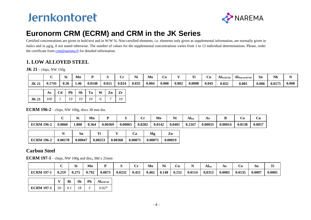

## **Euronorm CRM (ECRM) and CRM in the JK Series**

Certified concentrations are given in bold text and in W/W %. Non-certified elements, i.e. elements only given as supplemental information, are normally given in italics and in  $\mu g/g$ , if not stated otherwise. The number of values for the supplemental concentrations varies from 1 to 13 individual determinations. Please, order the certificate from [crm@narema.fi](mailto:crm@narema.fi) for detailed information.

### **1. LOW ALLOYED STEEL**

**JK 21** – chips, NW 150g

|             |       | r.<br>IJ. | Mn   |        |       | . .   | NT.<br>Nı | Mo    | $\cup\mathbf{0}$ |       | TC:    | ∪u    | <b>Al</b> Acid Sol | AlNon-acid Sol | Sn    | <b>Nb</b> |       |
|-------------|-------|-----------|------|--------|-------|-------|-----------|-------|------------------|-------|--------|-------|--------------------|----------------|-------|-----------|-------|
| <b>JK21</b> | 1741. | 0.36      | 1.46 | 0.0148 | 0.011 | 0.024 | 0.035     | 0.004 | 0.008            | 0.002 | 0.0008 | 0.045 | 0.032              | 0.005          | 0.006 | 0.0175    | 0.008 |

|                           | As   Cd   Pb   Sb   Ta   W   Zn   Zr |  |  |  |
|---------------------------|--------------------------------------|--|--|--|
| $\vert$ JK 21 $\vert$ 100 | $1 \t1 \t10 \t10 \t10 \t6 \t7 \t10$  |  |  |  |

**ECRM 196-2** – chips, NW 100g, discs 38 mm dia.

|                   |       | וכו  | Mn    |                |         |        | Mo     | $\mathbf{H}$<br>14I | Alto   | А.      |         | ⊃∪     | Ċu     |
|-------------------|-------|------|-------|----------------|---------|--------|--------|---------------------|--------|---------|---------|--------|--------|
| <b>ECRM 196-2</b> | ,0060 | .808 | 0.364 | <b>J.00369</b> | 0.00065 | 0.0282 | 0.0142 | 0.0401              | 0.2167 | 0.00033 | 0.00014 | 0.0138 | 0.005' |

|                           | Sn      | т:      |         | Ca      | Mg      | Zn      |
|---------------------------|---------|---------|---------|---------|---------|---------|
| ECRM 196-2 $\mid$ 0.00178 | 0.00047 | 0.00253 | 0.00368 | 0.00071 | 0.00075 | 0.00019 |

### **Carbon Steel**

**ECRM 197-1** – chips, NW 100g and disc**,** 38d x 25mm

|                   |       | C:<br>JΙ | Mn    |        |        | ۔۔ '  | . .<br>Mo | Ni    | . 'n '<br>∼น |        | Altot  | ΑS     |        | -<br>Sn | m.     |
|-------------------|-------|----------|-------|--------|--------|-------|-----------|-------|--------------|--------|--------|--------|--------|---------|--------|
| <b>ECRM 197-1</b> | 0.219 | 0.275    | 0.792 | 0.0073 | 0.0232 | 0.451 | 0.402     | 0.148 | 0.152        | 0.0114 | 0.0313 | 0.0083 | 0.0135 | 0.0097  | 0.0005 |

|                             | Bi  | Sb | $Pb$ | Alacid sol |
|-----------------------------|-----|----|------|------------|
| <b>ECRM 197-1</b> $\mid$ 50 | 0.1 |    |      |            |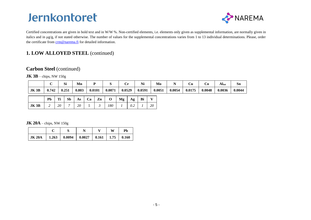

Certified concentrations are given in bold text and in W/W %. Non-certified elements, i.e. elements only given as supplemental information, are normally given in italics and in μg/g, if not stated otherwise. The number of values for the supplemental concentrations varies from 1 to 13 individual determinations. Please, order the certificate from [crm@narema.fi](mailto:crm@swerim.se) for detailed information.

### **1. LOW ALLOYED STEEL** (continued)

### **Carbon Steel** (continued)

**JK 3B** – chips, NW 150g

|      |       | $\sim$<br>ЮI | Mn    |        |        | . .<br>ິ | ***<br>NI | Mo     |        | Ċu     | Uυ     | $\mathbf{A}$ Itot | Sn     |
|------|-------|--------------|-------|--------|--------|----------|-----------|--------|--------|--------|--------|-------------------|--------|
| JK3B | 0.742 | 0.251        | 0.803 | 0.0101 | 0.0071 | 0.0529   | 0.0591    | 0.0051 | 0.0054 | 0.0175 | 0.0048 | 0.0036            | 0.0044 |

|      | Pb |                                   |    |  | $Ti$   Sb   As   Ca   Zn   O   Mg   Ag   Bi |  |  |
|------|----|-----------------------------------|----|--|---------------------------------------------|--|--|
| JK3B |    | $\begin{array}{c} 20 \end{array}$ | 20 |  | 180                                         |  |  |

**JK 20A** – chips, NW 150g

|                                                         |  |  | Ph |
|---------------------------------------------------------|--|--|----|
| JK 20A   1.263   0.0094   0.0027   0.161   1.75   0.160 |  |  |    |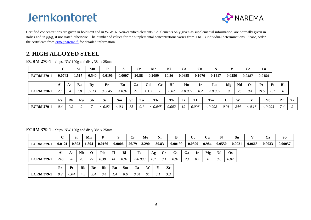

Certified concentrations are given in bold text and in W/W %. Non-certified elements, i.e. elements only given as supplemental information, are normally given in italics and in μg/g, if not stated otherwise. The number of values for the supplemental concentrations varies from 1 to 13 individual determinations. Please, order the certificate from [crm@narema.fi](mailto:crm@swerim.se) for detailed information.

## **2. HIGH ALLOYED STEEL**

**ECRM 270-1** – chips, NW 100g and disc**,** 38d x 25mm

|                   |        |           | Si    | Mn        | P               | S      |           | $\bf Cr$ | Mo            |           | Ni    | Co      |       | Cu     | N       |             |     | <b>Ce</b> | La     |         |     |    |
|-------------------|--------|-----------|-------|-----------|-----------------|--------|-----------|----------|---------------|-----------|-------|---------|-------|--------|---------|-------------|-----|-----------|--------|---------|-----|----|
| <b>ECRM 270-1</b> | 0.0742 |           | 1.517 | 0.540     | 0.0196          | 0.0007 |           | 20.88    | 0.2099        |           | 10.86 | 0.0685  |       | 0.1076 | 0.1417  | 0.0256      |     | 0.0487    | 0.0154 |         |     |    |
|                   | Al     | As        | Ba    | Dy        | Er              | Eu     | Ga        |          | Gd            | <b>Ge</b> | Hf    | Ho      |       | Ir     | Lu      | Mg          | Nd  | <b>Os</b> | Pr     | Pt      | Rb  |    |
| <b>ECRM 270-1</b> | 23     | 34        | 1.8   | 0.013     | 0.0045          | < 0.01 | 21        |          | $\langle$ 1.3 | O         | 0.02  | < 0.002 |       | 0.2    | < 0.002 | $\mathbf Q$ | 76  | 0.4       | 29.5   | 0.1     |     |    |
|                   | Re     | <b>Rh</b> | Ru    | <b>Sb</b> | <b>Sc</b>       | Sm     | <b>Sn</b> | Ta       |               | Tb        | Th    | Ti      | Tl    |        | Tm      | U           | W   |           |        | Yb      | Zn  | Zr |
| <b>ECRM 270-1</b> | 0.4    | 0.2       |       |           | $\epsilon$ 0.02 | < 0.1  | 35        | 0.1      |               | < 0.045   | 0.002 | 19      | 0.006 |        | < 0.002 | 0.01        | 244 | < 0.18    |        | < 0.003 | 7.4 | 2  |

#### **ECRM 379-1** – chips, NW 100g and disc**,** 38d x 25mm

|                   |        | Si             |           | Mn       | D         | S      |           | $\bf Cr$ | Mo    |     | Ni        | B                      |    | Co     | Cu      | N      |      | Sn     |        | Ca     | Sb      |
|-------------------|--------|----------------|-----------|----------|-----------|--------|-----------|----------|-------|-----|-----------|------------------------|----|--------|---------|--------|------|--------|--------|--------|---------|
| <b>ECRM 379-1</b> | 0.0121 | 0.393          |           | 1.804    | 0.0166    | 0.0006 |           | 26.79    | 3.290 |     | 30.83     | 0.00190                |    | 0.0390 | 0.984   | 0.0550 |      | 0.0021 | 0.0663 | 0.0033 | 0.00057 |
|                   | Al     | As             | <b>Nb</b> | $\Omega$ | <b>Pb</b> | Ti     | Bi        | Fe       |       | Ag  | <b>Ce</b> | $\mathbf{C}\mathbf{s}$ | Ga | -Ir    | Mg      | Nd     | Os   |        |        |        |         |
| <b>ECRM 379-1</b> | 246    | 28             | 28        | 27       | 0.38      | 14     | 0.01      | 356 000  |       | 0.7 | 0.1       | 0.01                   | 23 | 0.1    | $\circ$ | 0.6    | 0.07 |        |        |        |         |
|                   | Pr     | P <sub>t</sub> | Rb        | Re       | Rh        | Ru     | <b>Sm</b> | Ta       | W     |     |           | Zr                     |    |        |         |        |      |        |        |        |         |
| <b>ECRM 379-1</b> | 0.2    | 0.04           | 4.3       | 2.4      | 0.4       | 1.4    | 0.6       | 0.04     | 91    | 0.1 |           | 3.3                    |    |        |         |        |      |        |        |        |         |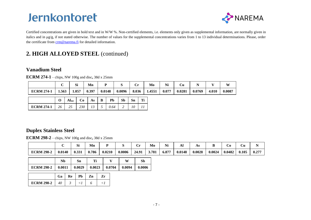

Certified concentrations are given in bold text and in W/W %. Non-certified elements, i.e. elements only given as supplemental information, are normally given in italics and in μg/g, if not stated otherwise. The number of values for the supplemental concentrations varies from 1 to 13 individual determinations. Please, order the certificate from [crm@narema.fi](mailto:crm@swerim.se) for detailed information.

## **2. HIGH ALLOYED STEEL** (continued)

### **Vanadium Steel**

**ECRM 274-1** – chips, NW 100g and disc**,** 38d x 25mm

|                   |       | Si    | Mn    |        |        | ິ     | Mo     | Ni    | Сu     | . .    |       | XX <sub>7</sub> |
|-------------------|-------|-------|-------|--------|--------|-------|--------|-------|--------|--------|-------|-----------------|
| <b>ECRM 274-1</b> | 1.563 | 1.057 | 0.397 | 0.0148 | 0.0096 | 8.036 | 1.4551 | 0.077 | 0.0281 | 0.0769 | 4.010 | 0.0087          |

|                                                                 |  |  | $O   Al_{tot}   Co   As   B   Pb   Sb   Sn   Ti$ |  |  |
|-----------------------------------------------------------------|--|--|--------------------------------------------------|--|--|
| <b>ECRM 274-1</b>   26   25   230   13   5   0.64   2   10   11 |  |  |                                                  |  |  |

### **Duplex Stainless Steel**

**ECRM 298-2** – chips, NW 100g and disc**,** 38d x 25mm

**ECRM 298-2** *40 3 <1 6 <1*

|                   |        | r.<br>м | Mn    |        |        |       | Mo    | <b>BY</b><br>Nì | A.     | As     |        | $\dot{\mathbf{C}}$ | ∪u    |            |
|-------------------|--------|---------|-------|--------|--------|-------|-------|-----------------|--------|--------|--------|--------------------|-------|------------|
| <b>ECRM 298-2</b> | 0.0140 | 0.331   | 0.786 | 0.0210 | 0.0006 | 24.91 | 3.781 | 6.877           | 0.0148 | 0.0028 | 0.0024 | 0.0482             | 0.105 | $0.27^{-}$ |

|                   | Nb     |    | Sn     | Ti     |    |        | W      | Sb     |
|-------------------|--------|----|--------|--------|----|--------|--------|--------|
| <b>ECRM 298-2</b> | 0.0011 |    | 0.0029 | 0.0023 |    | 0.0704 | 0.0094 | 0.0006 |
|                   | Ga     | Re | Pb     | Zn     | Zr |        |        |        |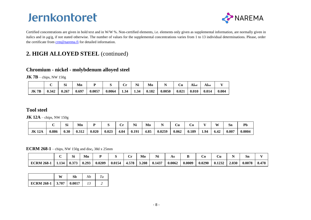

Certified concentrations are given in bold text and in W/W %. Non-certified elements, i.e. elements only given as supplemental information, are normally given in italics and in μg/g, if not stated otherwise. The number of values for the supplemental concentrations varies from 1 to 13 individual determinations. Please, order the certificate from [crm@narema.fi](mailto:crm@swerim.se) for detailed information.

## **2. HIGH ALLOYED STEEL** (continued)

### **Chromium - nickel - molybdenum alloyed steel**

**JK 7B** – chips, NW 150g

|             |       | Si    | Mn    |        |        | ∼<br>ິ | Ni   | Mo    |        | Ù     | Alsol | $\mathbf{Al_{tot}}$ |       |
|-------------|-------|-------|-------|--------|--------|--------|------|-------|--------|-------|-------|---------------------|-------|
| <b>JK7B</b> | 0.342 | 0.267 | 0.697 | 0.0057 | 0.0064 | 1.34   | 1.34 | 0.182 | 0.0050 | 0.021 | 0.010 | 0.014               | 0.004 |

### **Tool steel**

**JK 12A** – chips, NW 150g

|              |       | r.<br>יט | Mn    |       |       | ິ    | <b>BY</b><br>14 I | Mo   | - -<br>. . | UU    | U0    | $-$ - | W                      | Sn    | Pb     |
|--------------|-------|----------|-------|-------|-------|------|-------------------|------|------------|-------|-------|-------|------------------------|-------|--------|
| <b>JK12A</b> | 0.886 | 0.30     | 0.312 | 0.020 | 0.023 | 4.04 | 0.191             | 4.85 | 0.0259     | 0.062 | 0.189 | 1.94  | $\overline{A}$<br>0.44 | 0.007 | 0.0004 |

**ECRM 268-1** – chips, NW 150g and disc**,** 38d x 25mm

|                  |       | c:<br>וכ | Mn    |        |        | $\cdot$ . | Mo    | Ni     | AS     | -      | U0     | υu     |       | Sn     |       |
|------------------|-------|----------|-------|--------|--------|-----------|-------|--------|--------|--------|--------|--------|-------|--------|-------|
| <b>ECRM 268-</b> | 1.134 | 0.373    | 0.293 | 0.0209 | 0.0154 | 4.578     | 3.208 | 0.1437 | 0.0062 | 0.0009 | 0.0290 | 0.1232 | 2.030 | 0.0078 | 8.478 |

|                             | W | Nh | Tа |
|-----------------------------|---|----|----|
| ECRM 268-1   3.707   0.0017 |   |    |    |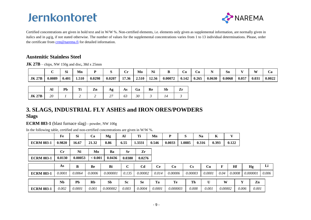

Certified concentrations are given in bold text and in W/W %. Non-certified elements, i.e. elements only given as supplemental information, are normally given in italics and in μg/g, if not stated otherwise. The number of values for the supplemental concentrations varies from 1 to 13 individual determinations. Please, order the certificate from [crm@narema.fi](mailto:crm@swerim.se) for detailed information.

### **Austenitic Stainless Steel**

**JK 27B** – chips, NW 150g and disc**,** 38d x 25mm

|               |        | $\sim$<br>ЮI | Mn    |        |        | ັ     | Mo    | Ni    |         | . 20  | ∠u    |        | Sn     |       | W     | ~a     |
|---------------|--------|--------------|-------|--------|--------|-------|-------|-------|---------|-------|-------|--------|--------|-------|-------|--------|
| <b>JK 27B</b> | 0.0089 | 0.401        | 1.510 | 0.0298 | 0.0207 | 17.36 | 2.510 | 12.56 | 0.00072 | 0.142 | 0.265 | 0.0630 | 0.0068 | 0.057 | 0.031 | 0.0022 |

|               | ÆП             | Pb | $\mathbf{r}$<br> | Zn | Ag  | AS | Ga | Re | Sb  | $\overline{ }$<br>-- |
|---------------|----------------|----|------------------|----|-----|----|----|----|-----|----------------------|
| <b>JK 27B</b> | $\Delta$<br>ZU |    | -                |    | ر پ | 05 | 30 |    | . . |                      |

### **3. SLAGS, INDUSTRIAL FLY ASHES and IRON ORES/POWDERS Slags**

**ECRM 883-1** (blast furnace slag) **-** powder, NW 100g

| In the following table, certified and non-certified concentrations are given in W/W %. |  |  |  |
|----------------------------------------------------------------------------------------|--|--|--|
|                                                                                        |  |  |  |

|                   | Fe             | Si        | Ca      | Mg        | Al          | Ti             | Mn        | P       | S                      | <b>Na</b> | K     | $\mathbf{v}$ |   |               |       |
|-------------------|----------------|-----------|---------|-----------|-------------|----------------|-----------|---------|------------------------|-----------|-------|--------------|---|---------------|-------|
| <b>ECRM 883-1</b> | 0.9820         | 16.67     | 21.32   | 8.86      | 6.55        | 1.3331         | 0.546     | 0.0033  | 1.0885                 | 0.316     | 0.393 | 0.122        |   |               |       |
|                   | $\mathbf{C}$ r | Ni        | Mo      | Ba        | <b>Sr</b>   | Zr             |           |         |                        |           |       |              |   |               |       |
| <b>ECRM 883-1</b> | 0.0130         | 0.00053   | < 0.001 | 0.0436    | 0.0380      | 0.0276         |           |         |                        |           |       |              |   |               |       |
|                   |                |           |         |           |             |                |           |         |                        |           |       |              |   |               |       |
|                   | As             | B         | Be      | Bi        | $\mathbf C$ | C <sub>d</sub> | <b>Ce</b> | Co      | $\mathbf{C}\mathbf{s}$ | Cu        | F     | Hf           |   | Hg            | Li    |
| <b>ECRM 883-1</b> | 0.0001         | 0.0064    | 0.0006  | 0.000001  | 0.135       | 0.00002        | 0.014     | 0.00006 | 0.00003                | 0.0001    | 0.04  | 0.0008       |   | 0.000001      | 0.006 |
|                   | <b>Nb</b>      | <b>Pb</b> | Rb      | <b>Sb</b> | <b>Sc</b>   | <b>Se</b>      | Ta        | Te      | Th                     | U         | W     |              | Y | $\mathbf{Zn}$ |       |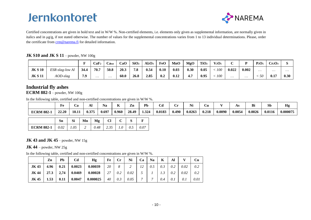

Certified concentrations are given in bold text and in W/W %. Non-certified elements, i.e. elements only given as supplemental information, are normally given in italics and in μg/g, if not stated otherwise. The number of values for the supplemental concentrations varies from 1 to 13 individual determinations. Please, order the certificate from [crm@narema.fi](mailto:crm@swerim.se) for detailed information.

#### **JK S10 and JK S 11** – powder, NW 100g

|                |                 | T.   | CaF <sub>2</sub> | $\mathbf{Cat}$ | CaO  | SiO <sub>2</sub> | $Al_2O_3$ | FeO  | MnO  | MgO  | TiO <sub>2</sub> | $\mathbf{V}_2\mathbf{O}_5$ |          |          | $P_2O_5$ | Cr <sub>2</sub> O <sub>3</sub> |      |
|----------------|-----------------|------|------------------|----------------|------|------------------|-----------|------|------|------|------------------|----------------------------|----------|----------|----------|--------------------------------|------|
| <b>JK S 10</b> | ESR-slag-low Al | 34.4 | 70.7             | 50.8           | 20.3 | 7.8              | 0.54      | 0.10 | 0.03 | 0.30 | 0.05             | 100                        | 0.022    | 0.002    | $\cdots$ | $\cdots$                       | .    |
| <b>JK S 11</b> | AOD-slag        | 7.9  | $\cdots$         | $\cdots$       | 60.0 | 26.8             | 2.85      | 0.2  | 0.12 | 4.7  | 0.95             | 100                        | $\cdots$ | $\cdots$ | 50       | 0.17                           | 0.30 |

### **Industrial fly ashes**

**ECRM 882-1** – powder, NW 100g

In the following table, certified and non-certified concentrations are given in W/W %.

|                  | ≖     | ⁄ a   | A.    | Na    | . .   | Zn    | Pb    | Նև     |       | $\sqrt{10}$<br>L V J | ∠u    |        | Г. С   | Bi     | $50^{\circ}$ | Hg       |
|------------------|-------|-------|-------|-------|-------|-------|-------|--------|-------|----------------------|-------|--------|--------|--------|--------------|----------|
| <b>ECRM 882-</b> | 22.20 | 10.11 | 0.375 | 0.697 | 0.960 | 28.49 | 1.324 | 0.0183 | 0.490 | 0.0263               | 0.218 | 0.0090 | 0.0054 | 0.0026 | 0.0116       | 0.00007' |

|                                                                   | Sn | Mn | Mg | $\Box$                           |  |  |
|-------------------------------------------------------------------|----|----|----|----------------------------------|--|--|
| <b>ECRM 882-1</b> $\begin{bmatrix} 0.02 & 1.05 & 2 \end{bmatrix}$ |    |    |    | $0.48$   2.35   1.0   0.5   0.07 |  |  |

#### **JK 43 and JK 45** – powder, NW 15g

#### **JK 44** – powder, NW 25g

In the following table, certified and non-certified concentrations are given in W/W %.

|              | Zn   | Pb | Cd | Hg                             | Fe | $\mathbf{Cr}$ | Ni            | Ca | <b>Na</b> | K   | Al  |      | Cu   |
|--------------|------|----|----|--------------------------------|----|---------------|---------------|----|-----------|-----|-----|------|------|
| JK43         | 4.96 |    |    | $0.21$ 0.0023 0.00039          | 20 | 8             | $\mathcal{D}$ | 12 | 0.5       | 0.3 | 0.2 | 0.02 | 0.2  |
| <b>JK 44</b> |      |    |    | 27.3   2,74   0.0469   0.00028 | 27 | 0.2           | 0.02          |    |           |     | 0.2 | 0.02 | 0.2  |
| <b>JK45</b>  | 1.53 |    |    | $0.11$   $0.0047$   $0.000025$ | 40 | 0.3           | 0.05          | 7  |           | 0.4 | 0.1 | 0.1  | 0.01 |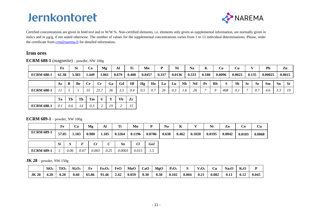

Certified concentrations are given in bold text and in W/W %. Non-certified elements, i.e. elements only given as supplemental information, are normally given in italics and in μg/g, if not stated otherwise. The number of values for the supplemental concentrations varies from 1 to 13 individual determinations. Please, order the certificate from [crm@narema.fi](mailto:crm@swerim.se) for detailed information.

### **Iron ores**

**ECRM 688-1** (magnetite) – powder, NW 100g

|                   | ${\bf F}$ $\bf{e}$<br>xv | JІ    | ه.          | M2.   | Al    | <b>CONT</b> | Mn     |       | Ni     | $ -$<br>Na | $-$<br> | U0     | ેu     |       | Pb      | -<br>Zn |
|-------------------|--------------------------|-------|-------------|-------|-------|-------------|--------|-------|--------|------------|---------|--------|--------|-------|---------|---------|
| <b>ECRM 688-1</b> | 61.38                    | 3.383 | <b>.449</b> | 1.061 | 0.679 | 0.408       | 0.0457 | 0.337 | 0.0136 | 0.333      | 0.180   | 0.0096 | 0.0023 | 0.135 | 0.00025 | 0.0015  |

|                  | As | n.<br>D | Be |     | ◡ェ | Ga  | GQ        | Hf | Hg                          | $\sim$<br>H <sub>0</sub>         | La | Lu- | <b>Nb</b> | Nd | $\mathbf{p}_{\mathbf{r}}$<br>- - | Rb |     | <b>Sb</b>    | <b>Sc</b> | $\sim$<br>- Se | $\sim$<br>Sm | Sn  | <b>Sr</b> |
|------------------|----|---------|----|-----|----|-----|-----------|----|-----------------------------|----------------------------------|----|-----|-----------|----|----------------------------------|----|-----|--------------|-----------|----------------|--------------|-----|-----------|
| <b>ECRM 688-</b> |    |         |    | - - | .  | ≺ี่ | $\ddotsc$ |    | $\mathsf{U}$ . $\mathsf{U}$ | $\mathsf{U}\boldsymbol{\cdot}$ . | 26 |     | 1.0       | 20 |                                  |    | 468 | $\mathbf{U}$ |           | $\theta$ .     | 4.0          | ້∙∙ | 10        |

|            | Ta  | Тb  | Th | Tm  | $\mathbf{I}$ | Yb |  |
|------------|-----|-----|----|-----|--------------|----|--|
| ECRM 688-1 | 0.1 | 0.6 | 14 | 0.3 |              |    |  |

#### **ECRM 689-1** – powder, NW 100g

|                   | Fe    |      | Ca    | Mg    | Al    | Ti     | Mn     | D          | <b>Na</b> | K     |        | Ni     | Zn     | Co     | Cu     |
|-------------------|-------|------|-------|-------|-------|--------|--------|------------|-----------|-------|--------|--------|--------|--------|--------|
| <b>ECRM 689-1</b> | 57.05 |      | 1.183 | 0.980 | 1.185 | 0.3264 | 0.1196 | 0.0706     | 0.638     | 0.462 | 0.1020 | 0.0195 | 0.0042 | 0.0103 | 0.0068 |
|                   | Si    |      |       | Cr    |       | Sn     | Cl     | <b>GoI</b> |           |       |        |        |        |        |        |
| <b>ECRM 689-1</b> |       | 0.06 | 0.07  | 0.003 | 0.25  | 0.0003 | 0.015  | ر          |           |       |        |        |        |        |        |

**JK 28** – powder, NW 150g

|              | SiO <sub>2</sub> | TiO <sub>2</sub> | $Al_2O_3$ | Fe    | Fe <sub>2</sub> O <sub>3</sub> | FeO  | MnO   | CaO  | MgO  | $P_2O_5$ |       | / 2U5 | ال    | Na <sub>2</sub> O | $K_2O$ |       |
|--------------|------------------|------------------|-----------|-------|--------------------------------|------|-------|------|------|----------|-------|-------|-------|-------------------|--------|-------|
| <b>JK 28</b> | 4.20             | 0.20             | 0.60      | 65.86 | -01<br><b>1.46</b>             | 2.42 | 0.059 | 0.30 | 0.30 | 0.102    | 0.004 | 0.21  | 0.002 | 0.11              | 0.12   | 0.045 |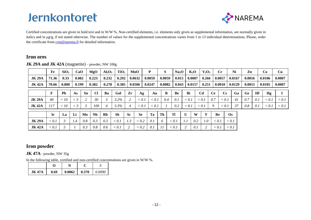

Certified concentrations are given in bold text and in W/W %. Non-certified elements, i.e. elements only given as supplemental information, are normally given in italics and in μg/g, if not stated otherwise. The number of values for the supplemental concentrations varies from 1 to 13 individual determinations. Please, order the certificate from [crm@narema.fi](mailto:crm@swerim.se) for detailed information.

### **Iron ores**

|               | Fe    | SiO <sub>2</sub> | CaO   |              | MgO                  | $Al_2O_3$ | TiO <sub>2</sub> |           | MnO       | P      | S      |            | Na <sub>2</sub> O | $K_2O$ | $V_2O_5$       |           | $C_{r}$                |            | Ni     | Zn        |     | Co     | Cu     |
|---------------|-------|------------------|-------|--------------|----------------------|-----------|------------------|-----------|-----------|--------|--------|------------|-------------------|--------|----------------|-----------|------------------------|------------|--------|-----------|-----|--------|--------|
| <b>JK 29A</b> | 71.36 | 0.33             | 0.082 |              | 0.223                | 0.232     | 0.292            |           | 0.0632    | 0.0059 | 0.0059 |            | 0.015             | 0.0087 | 0.266          |           | 0.0057                 |            | 0.0167 | 0.0016    |     | 0.0106 | 0.0007 |
| <b>JK42A</b>  | 70.66 | 0.800            | 0.199 |              | 0.382                | 0.278     | 0.385            |           | 0.0506    | 0.0247 | 0.0082 |            | 0.043             | 0.0157 | 0.251          |           | 0.0010                 |            | 0.0129 | 0.0015    |     | 0.0105 | 0.0007 |
|               | F     | Pb               | As    | Sn           | <b>Cl</b>            | Ba        | Gol              | Zr        | Ag        | Au     |        | B<br>Be    |                   | Bi     | C <sub>d</sub> | <b>Ce</b> | $\mathbf{C}\mathbf{s}$ |            | Ga     | <b>Ge</b> | Hf  | Hg     |        |
| <b>JK 29A</b> | 40    | <10              | $<$ 3 | <sup>1</sup> | 30                   |           | 3.2%             |           | < 0.1     | < 0.1  |        | 0.4<br>0.1 |                   | < 0.1  | < 0.1          | 0.7       | < 0.1                  |            | 41     | 0.7       | 0.1 | < 0.1  | < 0.1  |
| <b>JK42A</b>  | 117   | <10              | $<$ 3 |              | 100                  |           | 3.3%             |           | < 0.1     | < 0.1  |        | 0.2        |                   | < 0.1  | < 0.1          | Q         | < 0.1                  |            | 37     | 0.8       | 0.1 | < 0.1  | < 0.1  |
|               | Ir    | La               | Li    | Mo           | <b>N<sub>b</sub></b> | Rb        | <b>Sb</b>        | <b>Sc</b> | <b>Se</b> | Ta     | Th     | Tl         |                   | W      | Y              |           | Re                     | $\Omega$ s |        |           |     |        |        |
| <b>JK 29A</b> | < 0.1 |                  | 1.4   | 0.8          | 0.3                  | 0.3       | < 0.1            | 1.3       | < 0.2     | 0.1    | 6      | < 0.1      | 1.1               | 0.2    | 1.0            |           | < 0.1                  | < 0.1      |        |           |     |        |        |
| <b>JK42A</b>  | < 0.1 |                  |       | 0.3          | 0.8                  | 0.6       | < 0.1            |           | < 0.2     | 0.1    |        | < 0.1      |                   | 0.1    |                |           | < 0.1                  | < 0.1      |        |           |     |        |        |

**JK 29A and JK 42A** (magnetite) – powder, NW 100g

### **Iron powder**

**JK 47A**– powder, NW 35g

In the following table, certified and non-certified concentrations are given in W/W %.

| <b>JK 47A</b> | 0.69 | $0.0062$ | 0.370 | 0.0090 |
|---------------|------|----------|-------|--------|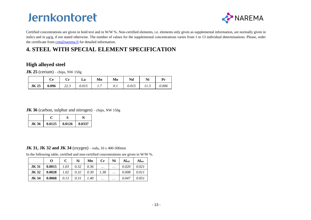

Certified concentrations are given in bold text and in W/W %. Non-certified elements, i.e. elements only given as supplemental information, are normally given in italics and in  $\mu g/g$ , if not stated otherwise. The number of values for the supplemental concentrations varies from 1 to 13 individual determinations. Please, order the certificate from [crm@narema.fi](mailto:crm@swerim.se) for detailed information.

## **4. STEEL WITH SPECIAL ELEMENT SPECIFICATION**

### **High alloyed steel**

**JK 25** (cerium) – chips, NW 150g

|             | Cе    | ◡ェ        | La    | Mn | Mo  | Nd    | Ni   | Pr    |
|-------------|-------|-----------|-------|----|-----|-------|------|-------|
| <b>JK25</b> | 0.096 | ل د سا سا | 0.015 | .  | 0.1 | 0.015 | 11.9 | 0.006 |

**JK 36** (carbon, sulphur and nitrogen) – chips, NW 150g

| JK 36 | $0.0125$ 0.0126 0.0337 |  |
|-------|------------------------|--|

#### **JK 31, JK 32 and JK 34** (oxygen) – rods**,** 10 x 400-500mm

In the following table, certified and non-certified concentrations are given in W/W %.

|              | О      | $\mathbf C$ | Si   | Mn   | $C_{r}$   | Ni       | Alsol | Altot |
|--------------|--------|-------------|------|------|-----------|----------|-------|-------|
| <b>JK 31</b> | 0.0015 | 1.03        | 0.32 | 0.36 | $\ddotsc$ | $\cdots$ | 0.020 | 0.021 |
| JK 32        | 0.0028 | 1.02        | 0.32 | 0.30 | 1.38      | $\cdots$ | 0.008 | 0.011 |
| <b>JK34</b>  | 0.0068 | 0.13        | 0.31 | 1.40 | $\cdots$  | $\cdots$ | 0.047 | 0.051 |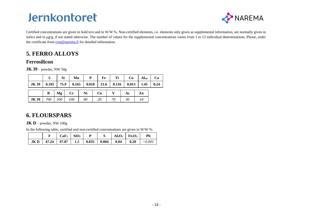

Certified concentrations are given in bold text and in W/W %. Non-certified elements, i.e. elements only given as supplemental information, are normally given in italics and in μg/g, if not stated otherwise. The number of values for the supplemental concentrations varies from 1 to 13 individual determinations. Please, order the certificate from [crm@narema.fi](mailto:crm@swerim.se) for detailed information.

## **5. FERRO ALLOYS**

### **Ferrosilicon**

**JK 39** – powder, NW 50g

|                                                                           |          | <b>Si</b> | Mn | $\mathbf{P}$<br>Fe          | <b>Ti</b> |    | $Cu$ Altot | Ca |
|---------------------------------------------------------------------------|----------|-----------|----|-----------------------------|-----------|----|------------|----|
| JK 39   0.105   75.9   0.165   0.018   21.6   0.116   0.013   1.45   0.24 |          |           |    |                             |           |    |            |    |
|                                                                           | $\bf{B}$ | Mg Cr Ni  |    | $\overline{\phantom{a}}$ Co |           | As | Zn         |    |

### **6. FLOURSPARS**

**JK D** – powder, NW  $100g$ 

In the following table, certified and non-certified concentrations are given in W/W %.

**JK 39** *700 100 100 80 20 70 30 10*

|                                            | $CaF_2$   SiO <sub>2</sub> |  |      | $Al_2O_3$   Fe <sub>2</sub> O <sub>3</sub> | Pb           |
|--------------------------------------------|----------------------------|--|------|--------------------------------------------|--------------|
| JK D   47.24   97.07   1.5   0.035   0.004 |                            |  | 0.04 | $\vert$ 0.20                               | $<\!\!0.001$ |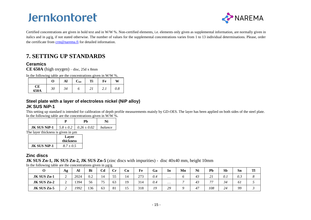

Certified concentrations are given in bold text and in W/W %. Non-certified elements, i.e. elements only given as supplemental information, are normally given in italics and in  $\mu g/g$ , if not stated otherwise. The number of values for the supplemental concentrations varies from 1 to 13 individual determinations. Please, order the certificate from [crm@narema.fi](mailto:crm@swerim.se) for detailed information.

## **7. SETTING UP STANDARDS**

#### **Ceramics**

**CE 650A** (high oxygen) – disc, 25d x 8mm

In the following table are the concentrations given in W/W %.

|            | 0  | Al | $\mathbf{C}_{\text{tot}}$ | ጥ፡             | Fe   | W   |
|------------|----|----|---------------------------|----------------|------|-----|
| CЕ<br>650A | 30 | 34 | υ                         | $\sim$ 1<br>41 | 4. I | 0.8 |

#### **Steel plate with a layer of electroless nickel (NiP alloy) JK SUS NiP-1**

This setting up standard is intended for calibration of depth profile measurements mainly by GD-OES. The layer has been applied on both sides of the steel plate. In the following table are the concentrations given in W/W %.

|                                                       | ખ |         |
|-------------------------------------------------------|---|---------|
| <b>JK SUS NiP-1</b>   $5.8 \pm 0.2$   $0.26 \pm 0.02$ |   | balance |

The layer thickness is given in  $\mu$ m

|                     | Layer<br>thickness |
|---------------------|--------------------|
| <b>JK SUS NiP-1</b> | $8.7 \pm 0.5$      |

#### **Zinc discs**

**JK SUS Zn-1, JK SUS Zn-2, JK SUS Zn-5** (zinc discs with impurities) - disc 40x40 mm, height 10mm

|             | Ag     | Al   | Bi  | Cd | $\mathbf{C}$ r | Cu       | Fe  | Ga  | In       | Mn | Ni | Pb                       | <b>Sb</b>  | <b>Sn</b> | Tl |
|-------------|--------|------|-----|----|----------------|----------|-----|-----|----------|----|----|--------------------------|------------|-----------|----|
| JK SUS Zn-1 | ⌒<br>∠ | 2024 | 0.2 | 14 | 55<br>ر ر      | 14       | 273 | 0.4 | $\cdots$ |    | 43 | 21                       | $\theta$ . | 0.3       |    |
| JK SUS Zn-2 | ◠<br>∸ | 1394 | 56  | 75 | 63             | 19       | 314 | 0.4 | $\cdots$ |    | 43 | $\overline{\phantom{a}}$ | 34         | 61        |    |
| JK SUS Zn-5 | ∼      | 1992 | 136 | 63 | 81             | 15<br>⊥୰ | 318 | 19  | 29       |    | 47 | 108                      | 24         | 99        |    |

In the following table are the concentrations given in  $\mu\sigma/\sigma$ .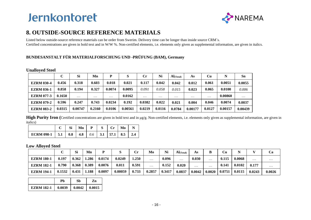

## **8. OUTSIDE-SOURCE REFERENCE MATERIALS**

Listed below outside-source reference materials can be order from Swerim. Delivery time can be longer than inside source CRM´s. Certified concentrations are given in bold text and in W/W %. Non-certified elements, i.e. elements only given as supplemental information, are given in italics.

### **BUNDESANSTALT FÜR MATERIALFORSCHUNG UND -PRÜFUNG (BAM), Germany**

#### **Unalloyed Steel**

|                   | C      | <b>Si</b> | Mn       | D        | S       | $\mathbf{C}$ r | Ni       | $AI$ (Total) | As       | <b>Cu</b> | N       | Sn       |
|-------------------|--------|-----------|----------|----------|---------|----------------|----------|--------------|----------|-----------|---------|----------|
| <b>EZRM 030-4</b> | 0.456  | 0.318     | 0.603    | 0.018    | 0.021   | 0.117          | 0.042    | 0.042        | 0.012    | 0.061     | 0.0051  | 0.0055   |
| <b>EZRM 036-1</b> | 0.858  | 0.194     | 0.327    | 0.0074   | 0.0095  | 0.091          | 0.058    | 0.015        | 0.023    | 0.065     | 0.0100  | 0.006    |
| <b>EZRM 077-3</b> | 0.1650 | $\cdots$  | $\cdots$ | $\cdots$ | 0.0162  | $\cdots$       | $\cdots$ | $\cdots$     | $\cdots$ | $\cdots$  | 0.00860 | $\cdots$ |
| <b>EZRM 079-2</b> | 0.596  | 0.247     | 0.743    | 0.0234   | 0.192   | 0.0382         | 0.022    | 0.021        | 0.004    | 0.046     | 0.0074  | 0.0037   |
| <b>EZRM 083-2</b> | 0.0315 | 0.00747   | 0.2160   | 0.0106   | 0.00561 | 0.0219         | 0.0116   | 0.0784       | 0.00177  | 0.0127    | 0.00157 | 0.00439  |

**High Purity Iron (**Certified concentrations are given in bold text and in μg/g. Non-certified elements, i.e. elements only given as supplemental information, are given in italics)

|                                                             |  |  | $C$   Si   Mn   P   S   Cr   Mo   N |  |
|-------------------------------------------------------------|--|--|-------------------------------------|--|
| ECRM 098-1   5.1   0.8   4.8   0.6   3.1   57.1   8.5   2.4 |  |  |                                     |  |

#### **Low Alloyed Steel**

|                   |        | Si    | Mn    |        |         | Сr    | Mo       | Ni     | $AI$ (Total) | As       | В        | Cu     |        |          | Ca       |
|-------------------|--------|-------|-------|--------|---------|-------|----------|--------|--------------|----------|----------|--------|--------|----------|----------|
| <b>EZRM 180-1</b> | 0.197  | 0.362 | .286  | 0.0174 | 0.0249  | .250  | $\cdots$ | 0.096  | $\cdots$     | 0.030    | $\cdots$ | 0.115  | 0.0068 | $\cdots$ | $\cdots$ |
| <b>EZRM 182-1</b> | 0.790  | 0.368 | 0.389 | 0.0076 | 0.011   | 0.591 | .        | 0.152  | 0.020        | $\cdots$ | $\cdots$ | 0.141  | 0.0102 | 0.177    | $\cdots$ |
| <b>EZRM 194-1</b> | 0.1532 | 0.431 | .188  | 0.0097 | 0.00059 | 0.733 | 0.2857   | 0.3417 | 0.0837       | 0.0042   | 0.0020   | 0.0751 | 0.0115 | 0.0243   | 0.0026   |

|                   | Ph     | Sh              | Zn |
|-------------------|--------|-----------------|----|
| <b>EZRM 182-1</b> | 0.0039 | $0.0042$ 0.0015 |    |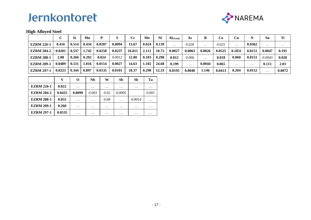

### **High Alloyed Steel**

|                   |        | Si    | Mn      |        |        | Cr.    | Mo    | Ni    | $AI$ (Total) | As       | В        | Co     | Cu       |          | Sn       | Ti       |
|-------------------|--------|-------|---------|--------|--------|--------|-------|-------|--------------|----------|----------|--------|----------|----------|----------|----------|
| <b>EZRM 226-1</b> | 0.416  | 0.514 | 0.434   | 0.0207 | 0.0094 | 13.67  | 0.024 | 0.139 | $\cdots$     | 0.026    | $\cdots$ | 0.025  | $\cdots$ | 0.0362   | $\cdots$ | $\cdots$ |
| <b>EZRM 284-2</b> | 0.0201 | 0.537 | . . 745 | 0.0258 | 0.0237 | 16.811 | 2.111 | 10.72 | 0.0027       | 0.0063   | 0.0026   | 0.0525 | 0.1831   | 0.0151   | 0.0047   | 0.191    |
| <b>EZRM 288-1</b> | 2.08   | 0.260 | 0.292   | 0.024  | 0.0012 | 12.00  | 0.103 | 0.298 | 0.012        | 0.006    | $\cdots$ | 0.018  | 0.060    | 0.0151   | 0.0043   | 0.020    |
| <b>EZRM 289-1</b> | 0.0489 | 0.531 | 016     | 0.0114 | 0.0027 | 14.63  | 1.102 | 24.68 | 0.199        | $\cdots$ | 0.0044   | 0.065  | $\cdots$ | $\cdots$ | 0.111    | 2.01     |
| <b>EZRM 297-1</b> | 0.0223 | 0.344 | 0.897   | 0.0135 | 0.0101 | 18.37  | 0.290 | 12.33 | 0.0195       | 0.0040   | 1.146    | 0.0413 | 0.204    | 0.0152   | $\cdots$ | 0.0072   |

|                   | v      | O        | Nb       | W        | Sb       | Sb       | Ta       |
|-------------------|--------|----------|----------|----------|----------|----------|----------|
| <b>EZRM 226-1</b> | 0.022  | $\cdots$ | $\cdots$ | $\cdots$ | $\cdots$ | $\cdots$ | $\cdots$ |
| <b>EZRM 284-2</b> | 0.0425 | 0.0099   | 0.003    | 0.02     | 0.0005   |          | 0.001    |
| <b>EZRM 288-1</b> | 0.055  | $\cdots$ | .        | 0.68     | .        | 0.0014   | $\cdots$ |
| <b>EZRM 289-1</b> | 0.260  | $\cdots$ | $\cdots$ | $\cdots$ | $\cdots$ | $\cdots$ | $\cdots$ |
| <b>EZRM 297-1</b> | 0.0535 | $\cdots$ | $\cdots$ | $\cdots$ | $\cdots$ | $\cdots$ | $\cdots$ |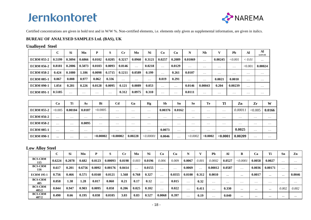

Certified concentrations are given in bold text and in W/W %. Non-certified elements, i.e. elements only given as supplemental information, are given in italics.

#### **BUREAU OF ANALYSED SAMPLES Ltd. (BAS), UK**

#### **Unalloyed Steel**

|                   | $\sim$<br>◡ | <b>Si</b> | Mn       | P        | S        | $_{\rm Cr}$ | Mo       | Ni       | Co                | Cи       | N        | <b>N<sub>b</sub></b> |          | <b>Ph</b>      | Al       | Al<br>(acid sol) |
|-------------------|-------------|-----------|----------|----------|----------|-------------|----------|----------|-------------------|----------|----------|----------------------|----------|----------------|----------|------------------|
| <b>ECRM 055-2</b> | 0.5199      | 0.3094    | 0.6866   | 0.0102   | 0.0205   | 0.3217      | 0.0960   | 0.3121   | 0.0257            | 0.2089   | 0.01069  | $\cdots$             | 0.00245  | $<$ 0.001 $\,$ | < 0.01   | $\cdots$         |
| <b>ECRM 056-2</b> | 0.8181      | 0.2006    | 0.5073   | 0.0103   | 0.0093   | 0.0146      | $\cdots$ | 0.0218   | $\cdot\cdot\cdot$ | 0.0129   | $\cdots$ | $\cdots$             | $\cdots$ | $\cdots$       | < 0.001  | 0.00024          |
| <b>ECRM 058-2</b> | 0.424       | 0.1080    | l.186    | 0.0098   | 0.1715   | 0.1211      | 0.0589   | 0.199    | $\cdot\cdot\cdot$ | 0.261    | 0.0107   | $\cdots$             | $\cdots$ | $\cdots$       | $\cdots$ | $\cdots$         |
| <b>ECRM 085-1</b> | 0.067       | 0.008     | 0.977    | 0.062    | 0.336    | $\cdots$    | $\cdots$ | $\cdots$ | 0.019             | 0.291    | $\cdots$ | $\cdots$             | 0.0021   | 0.0010         | $\cdots$ | $\cdots$         |
| <b>ECRM 090-1</b> | 1.054       | 0.281     | 0.226    | 0.0128   | 0.0095   | 0.121       | 0.0089   | 0.053    | $\cdot\cdot\cdot$ | $\cdots$ | 0.0146   | 0.00043              | 0.204    | 0.00239        | .        | $\cdots$         |
| <b>ECRM 091-1</b> | 0.5185      | $\cdots$  | $\cdots$ | $\cdots$ | $\cdots$ | 0.312       | 0.0975   | 0.310    | $\cdot\cdot\cdot$ | $\cdots$ | 0.0111   | $\cdots$             | $\cdots$ | $\cdots$       | $\cdots$ | $\cdots$         |

|                   | Ca       | Ti       | As       | Bi        | C <sub>d</sub> | Ga       | Hg        | <b>Sb</b> | Sn       | <b>Se</b> | Te       | Tl       | Zn                | Zr       | W        |
|-------------------|----------|----------|----------|-----------|----------------|----------|-----------|-----------|----------|-----------|----------|----------|-------------------|----------|----------|
| <b>ECRM 055-2</b> | < 0.005  | 0.00104  | 0.0187   | < 0.0005  | $\cdots$       | $\cdots$ | $\cdots$  | 0.00376   | 0.0162   | $\cdots$  | $\cdots$ | $\cdots$ | 0.00011           | < 0.005  | 0.0166   |
| <b>ECRM 056-2</b> | $\cdots$ | $\cdots$ | $\cdots$ | $\cdots$  | $\cdots$       | .        | $\cdots$  | $\cdots$  | $\cdots$ | $\cdots$  | $\cdots$ | $\cdots$ | $\cdot\cdot\cdot$ | $\cdots$ | $\cdots$ |
| <b>ECRM 058-2</b> | $\cdots$ | $\cdots$ | 0.0095   | $\cdots$  | .              | $\cdots$ | $\cdots$  | $\cdots$  | $\cdots$ | $\cdots$  | $\cdots$ | $\cdots$ | $\cdots$          | $\cdots$ | $\cdots$ |
| <b>ECRM 085-1</b> | $\cdots$ | $\cdots$ | $\cdots$ | $\cdots$  | .              | $\cdots$ | $\cdots$  | 0.0073    | $\cdots$ | .         | $\cdots$ | $\cdots$ | 0.0025            | $\cdots$ | $\cdots$ |
| <b>ECRM 090-1</b> |          | $\cdots$ | $\cdots$ | < 0.00002 | < 0.00002      | 0.00228  | < 0.00001 | 0.0046    | $\cdots$ | < 0.0002  | < 0.0002 | < 0.0001 | 0.00209           | $\cdots$ | $\cdots$ |

#### **Low Alloy Steel**

|                         | r<br>◡ | <b>Si</b> | Mn     | D      | S       | $C_{r}$ | Mo                | Ni     | Co       | Cu       |          |       | Pb       | Al       | B        | Ca       | Ti       | <b>Sn</b> | Zn       |
|-------------------------|--------|-----------|--------|--------|---------|---------|-------------------|--------|----------|----------|----------|-------|----------|----------|----------|----------|----------|-----------|----------|
| <b>BCS-CRM</b><br>115   | 0.6224 | 0.2078    | 0.682  | 0.0123 | 0.00093 | 0.0198  | 0.003             | 0.0196 | 0.006    | 0.009    | 0.0067   | 0.00i | 0.0002   | 0.0527   | < 0.0001 | 0.0058   | 0.0027   | $\cdots$  | $\cdots$ |
| <b>BCS-CRM</b><br>116   | 0.617  | 0.201     | 0.6756 | 0.0092 | 0.00176 | 0.0414  | $\cdot\cdot\cdot$ | 0.0155 | $\cdots$ | $\cdots$ | 0.0069   | .     | 0.00012  | 0.0587   | $\cdots$ | 0.0036   | 0.00171  | $\cdots$  | $\cdots$ |
| <b>ECRM 195-1</b>       | 0.756  | 0.466     | 0.571  | 0.0160 | 0.0121  | 1.568   | 0.768             | 0.327  | $\cdots$ | 0.0355   | 0.0100   | 0.312 | 0.0010   | $\cdots$ | $\cdots$ | 0.0017   | $\cdots$ | $\cdots$  | 0.0046   |
| <b>BCS-CRM</b><br>405   | 0.058  | 1.38      | 1.28   | 0.017  | 0.060   | 0.21    | 0.17              | 0.12   | $\cdots$ | 0.015    | $\cdots$ | 0.32  | $\cdots$ | $\cdots$ | $\cdots$ | $\cdots$ | $\cdots$ | $\cdots$  | $\cdots$ |
| <b>BCS-CRM</b><br>405/2 | 0.044  | 0.947     | 0.903  | 0.0095 | 0.058   | 0.206   | 0.025             | 0.102  | $\cdots$ | 0.022    | $\cdots$ | 0.411 | $\cdots$ | 0.330    | $\cdots$ |          | $\cdots$ | 0.002     | 0.002    |
| <b>BCS-CRM</b><br>407/2 | 0.490  | 0.66      | 0.195  | 0.038  | 0.0105  | 3.03    | 0.83              | 0.527  | 0.0068   | 0.397    | $\cdots$ | 0.19  | $\cdots$ | 0.040    | $\cdots$ |          |          | $\cdots$  | $\cdots$ |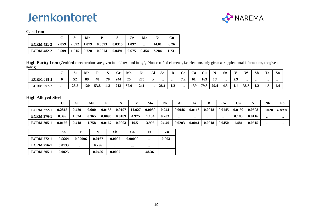

#### **Cast Iron**

|                                                                              | <b>Si</b> | Mn | P | $\mathbf{C}$ r | Mo       | Ni    | Cu    |
|------------------------------------------------------------------------------|-----------|----|---|----------------|----------|-------|-------|
| ECRM 451-2   2.059   2.092   1.079   0.0593   0.0315   1.097                 |           |    |   |                | $\cdots$ | 14.01 | 6.26  |
| ECRM 482-2   2.599   1.815   0.728   0.0974   0.0491   0.675   0.454   2.284 |           |    |   |                |          |       | 1.231 |

**High Purity Iron (**Certified concentrations are given in bold text and in μg/g. Non-certified elements, i.e. elements only given as supplemental information, are given in italics)

|                   |          | C.<br>וכ | Mn  | D    |     | Cr  | Mo                      | Ni  | Al       | As       | B             | Ca         | Co  | Cu   | $\bullet$ | Sn       | $\mathbf{r}$ | W        | <b>Sb</b> | Ta       | Zn         |
|-------------------|----------|----------|-----|------|-----|-----|-------------------------|-----|----------|----------|---------------|------------|-----|------|-----------|----------|--------------|----------|-----------|----------|------------|
| <b>ECRM 088-2</b> |          | 52       | 89  | 48   | 70  | 244 | $\cap$ $\subset$<br>ر ر | 275 |          | $\cdots$ | $\cdots$      | 72<br>تھ ہ | -61 | 163  | 10        | $\cdots$ | 20<br>4.7    | $\cdots$ | $\cdots$  | $\cdots$ | $\cdots$   |
| <b>ECRM 097-2</b> | $\cdots$ | 28.5     | 120 | 53.8 | 4.3 | 213 | 37.0                    | 241 | $\cdots$ | 28.1     | $\sim$<br>1.Z | $\cdots$   | 139 | 79.3 | 29.4      | 4.3      | 1.1          | 38.6     | ∸∙        | 1.J      | <b>I.T</b> |

#### **High Alloyed Steel**

|                   |        | ы     | Mn    | D      |        | $\mathcal{L}_{\mathbf{m}}$<br>u | Mo     | Ni    | Al       | As       |          | Co       | Cu     |        | Nb       | Pb       |
|-------------------|--------|-------|-------|--------|--------|---------------------------------|--------|-------|----------|----------|----------|----------|--------|--------|----------|----------|
| <b>ECRM 272-1</b> | 0.2815 | 0.420 | 0.600 | 0.0156 | 0.0197 | 11.927                          | 0.0030 | 0.244 | 0.0046   | 0.0116   | 0.0018   | 0.0145   | 0.0192 | 0.0508 | 0.0028   | 0.0004   |
| <b>ECRM 276-1</b> | 0.399  | .034  | 0.365 | 0.0093 | 0.0189 | 4.975                           | 1.134  | 0.203 | $\cdots$ | $\cdots$ | $\cdots$ | $\cdots$ | 0.183  | 0.0116 | .        | $\cdots$ |
| <b>ECRM 295-1</b> | 0.0166 | 0.418 | 758   | 0.0167 | 0.0003 | 19.51                           | 3.996  | 24.40 | 0.0203   | 0.0041   | 0.0018   | 0.0450   | 1.481  | 0.0615 | $\cdots$ | $\cdots$ |

|                   | Sn     | Ti       |        | Sb       | Ca       | Fe       | Zn       |
|-------------------|--------|----------|--------|----------|----------|----------|----------|
| <b>ECRM 272-1</b> | 0.0008 | 0.00096  | 0.0167 | 0.0007   | 0.00090  | $\cdots$ | 0.0031   |
| <b>ECRM 276-1</b> | 0.0133 | $\cdots$ | 0.296  | $\cdots$ | $\cdots$ | $\cdots$ | $\cdots$ |
| <b>ECRM 295-1</b> | 0.0025 | $\cdots$ | 0.0456 | 0.0007   | $\cdots$ | 48.36    | $\cdots$ |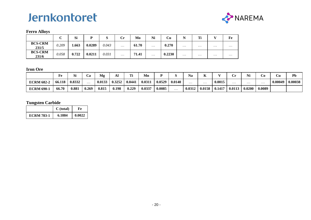



#### **Ferro Alloys**

|                         | $\sim$<br>ັ | Si    | D      | ៶     | Сr       | Mo    | Ni       | Cu     | N        | т:       | $\mathbf{v}$ | Fe       |
|-------------------------|-------------|-------|--------|-------|----------|-------|----------|--------|----------|----------|--------------|----------|
| <b>BCS-CRM</b><br>231/5 | 0.209       | 1.663 | 0.0289 | 0.043 | $\cdots$ | 61.70 | $\cdots$ | 0.270  | $\cdots$ | $\cdots$ | $\cdots$     | $\cdots$ |
| <b>BCS-CRM</b><br>231/6 | 0.058       | 0.722 | 0.0211 | 0.031 | $\cdots$ | 71.41 | $\cdots$ | 0.2230 | $\cdots$ | $\cdots$ | $\cdots$     | $\cdots$ |

#### **Iron Ore**

|                   | Fe     | r.<br>ы | `Q<br>C۵ | Mg     | ΑI     | m:     | Mn     |        |          | Na       | TZ<br>n  |        |          | <b>ATO</b><br>Nl | . O      | Cu      | Pb      |
|-------------------|--------|---------|----------|--------|--------|--------|--------|--------|----------|----------|----------|--------|----------|------------------|----------|---------|---------|
| <b>ECRM 682-</b>  | 66.118 | 0.8332  | .        | 0.0133 | 0.3252 | 0.0441 | 0.031  | 0.0529 | 0.0140   | $\cdots$ | $\cdots$ | 0.0015 | $\cdots$ | $\cdots$         | $\cdots$ | 0.00049 | 0.00038 |
| <b>ECRM 690-1</b> | 66.70  | 0.881   | 0.269    | 0.815  | 0.198  | 0.229  | 0.0337 | 0.0085 | $\cdots$ | 0.0312   | 0.0158   | 0.1417 | 0.0113   | 0.0200           | 0.0089   |         |         |

### **Tungsten Carbide**

|                   | $C$ (total) | Fe     |
|-------------------|-------------|--------|
| <b>ECRM 783-1</b> | 6.1884      | 0.0022 |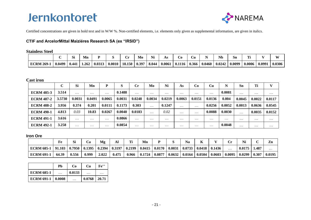

Certified concentrations are given in bold text and in W/W %. Non-certified elements, i.e. elements only given as supplemental information, are given in italics.

#### **CTIF and ArcelorMittal Maiziéres Research SA (ex "IRSID")**

#### **Stainless Steel**

|                   |        | ا پ   | Mn    |           |        |        | Mо    | Ni    | As     | $\cup 0$ | $\mathbf{C}\mathbf{u}$ |        | <b>Nb</b> | Sn     | m.     |                      | W      |
|-------------------|--------|-------|-------|-----------|--------|--------|-------|-------|--------|----------|------------------------|--------|-----------|--------|--------|----------------------|--------|
| <b>ECRM 269-1</b> | 0.0499 | 0.441 | 1.262 | $0.031$ ? | 0.0010 | 18.150 | 0.397 | 8.044 | 0.0061 | 0.1116   | 0.366                  | 0.0460 | 0.0242    | 0.0090 | 0.0006 | $0.099$ <sup>-</sup> | 0.0306 |

#### **Cast iron**

|                   | $\mathbf{C}$<br>◡ | <b>Si</b> | Mn       | P        | S      | $\mathbf{C}$ r | Mo       | Ni       | As       | Co       | Cu       | N        | Sn       | Ti       | $\mathbf{V}$ |
|-------------------|-------------------|-----------|----------|----------|--------|----------------|----------|----------|----------|----------|----------|----------|----------|----------|--------------|
| <b>ECRM 485-3</b> | 3.514             | $\cdots$  | $\cdots$ | $\cdots$ | 0.1488 | $\cdots$       | $\cdots$ | $\cdots$ | $\cdots$ | $\cdots$ | $\cdots$ | 0.0081   | $\cdots$ | $\cdots$ | $\cdots$     |
| <b>ECRM 487-2</b> | 3.5730            | 0.0031    | 0.0491   | 0.0065   | 0.0031 | 0.0248         | 0.0034   | 0.0219   | 0.0063   | 0.0151   | 0.0136   | 0.004    | 0.0045   | 0.0022   | 0.0117       |
| <b>ECRM 488-2</b> | 3.956             | 0.374     | 0.201    | 0.0111   | 0.1173 | 0.303          | $\cdots$ | 0.1247   | $\cdots$ | $\cdots$ | 0.0256   | 0.0052   | 0.0013   | 0.0636   | 0.0545       |
| <b>ECRM 490-1</b> | 4.813             | 0.03      | 10.83    | 0.0267   | 0.0040 | 0.0183         | $\cdots$ | 0.02     | $\cdots$ | $\cdots$ | 0.0088   | 0.0030   | $\cdots$ | 0.0035   | 0.0152       |
| <b>ECRM 491-1</b> | 3.616             | $\cdots$  | $\cdots$ | $\cdots$ | 0.0866 | $\cdots$       | $\cdots$ | $\cdots$ | $\cdots$ | $\cdots$ | $\cdots$ | $\cdots$ | $\cdots$ | $\cdots$ | $\cdots$     |
| <b>ECRM 492-1</b> | 3.258             | $\cdots$  | $\cdots$ | $\cdots$ | 0.0854 | $\cdots$       | $\cdots$ | $\cdots$ | $\cdots$ | $\cdots$ | $\cdots$ | 0.0048   | $\cdots$ | $\cdots$ | $\cdots$     |

#### **Iron Ore**

|                   | Fe      |        | Ca     | Mg     | Al     | ran •  | Mn     |        |        | Na     |        |        | $\mathbf{C}_{\mathbf{r}}$<br>ິ | Ni     |       | Zn       |
|-------------------|---------|--------|--------|--------|--------|--------|--------|--------|--------|--------|--------|--------|--------------------------------|--------|-------|----------|
| <b>ECRM 685-1</b> | 191.103 | 0.7950 | 0.1395 | 0.2394 | 0.3197 | 0.2199 | 0.0415 | 0.0170 | 0.0031 | 0.0733 | 0.0418 | 0.1436 | $\cdots$                       | 0.0175 | 1.487 | $\cdots$ |
| <b>ECRM 691-1</b> | 64.39   | 0.556  | 0.999  | 2.022  | 0.475  | 0.966  | 0.1724 | 0.0877 | 0.0632 | 0.0164 | 0.0504 | 0.0603 | 0.0095                         | 0.0299 | 0.307 | 0.0195   |

|                     | Pb       | Co     | Cu       | $Fe^{++}$ |
|---------------------|----------|--------|----------|-----------|
| <b>ECRM 685-1</b>   | $\cdots$ | 0.0133 | $\cdots$ | .         |
| ECRM 691-1   0.0008 |          | .      | 0.0768   | 20.71     |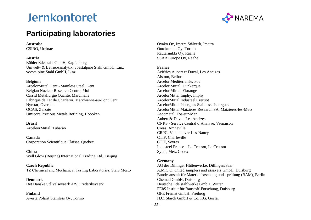

## **Participating laboratories**

#### **Australia**

CSIRO, Urrbrae

#### **Austria**

Böhler Edelstahl GmbH, Kapfenberg Umwelt- & Betriebsanalytik, voestalpine Stahl GmbH, Linz voestalpine Stahl GmbH, Linz

#### **Belgium**

ArcelorMittal Gent - Stainless Steel, Gent Belgian Nuclear Research Centre, Mol Carsid Métallurgie Qualité, Marcinelle Fabrique de Fer de Charleroi, Marchienne-au-Pont Gent Nyrstar, Overpelt OCAS, Zelzate Umicore Precious Metals Refining, Hoboken

#### **Brazil**

ArceleorMittal, Tubarão

**Canada** Corporation Scientifique Claisse, Quebec

#### **China** Well Glow (Beijing) International Trading Ltd., Beijing

**Czech Republic** TZ Chemical and Mechanical Testing Laboratories, Staré Město

#### **Denmark**

Det Danske Stålvalsevaerk A/S, Frederiksvaerk

#### **Finland**

Avesta Polarit Stainless Oy, Tornio

Ovako Oy, Imatra Stålverk, Imatra Outokumpu Oy, Tornio Rautaruukki Oy, Raahe SSAB Europe Oy, Raahe

#### **France**

Aciéries Aubert et Duval, Les Ancizes Alstom, Belfort Arcelor Mediterranée, Fos Arcelor Mittal, Dunkerque Arcelor Mittal, Florange ArcelorMittal Imphy, Imphy ArcelorMittal Industeel Creusot ArcelorMittal Isbergues Stainless, Isbergues ArcelorMittal Maiziéres Research SA, Maiziéres-les-Metz Ascométal, Fos-sur-Mer Aubert & Duval, Les Ancizes CNRS - Service Central d'Analyse, Vernaison Creas, Amneville CRPG, Vandoeuvre-Les-Nancy CTIF, Charleville CTIF, Sèvres Industeel France – Le Creusot, Le Creusot Sylab, Metz Cedex

#### **Germany**

AG der Dillinger Hüttenwerke, Dillingen/Saar A.M.C.O. united samplers and assayers GmbH, Duisburg Bundesanstalt für Materialforschung und - prüfung (BAM), Berlin Chemad GmbH, Duisburg Deutsche Edelstahlwerke GmbH, Witten FEhS Institut für Baustoff-Forschung, Duisburg GFE Fremat GmbH, Freiberg H.C. Starck GmbH & Co. KG, Goslar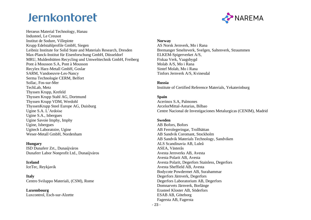

Heraeus Material Technology, Hanau Industeel, Le Creusot Institut de Sodure, Villepinte Krupp Edelstahlprofile GmbH, Siegen Leibniz Institute for Solid State and Materials Research, Dresden Max-Planck-Institut für Eisenforschung GmbH, Düsseldorf MRU, Muldenhütten Recycling und Umwelttechnik GmbH, Freiberg Pont à Mousson S.A, Pont à Mousson Recylex Harz-Metall GmbH, Goslar SARM, Vandoeuvre-Les-Nancy Serma Technologie CERM, Belfort Sollac, Fos-sur-Mer TechLab, Metz Thyssen Krupp, Krefeld Thyssen Krupp Stahl AG, Dortmund Thyssen Krupp VDM, Werdohl ThyssenKrupp Steel Europe AG, Duisburg Ugine S.A. L'Ardoise Ugine S.A., Isbergues Ugine Savoie Imphy, Imphy Ugine, Isbergues Ugitech Laboratoire, Ugine

#### **Hungary**

ISD Dunaferr Zrt., Dunaújváros Dunaferr Labor Nonprofit Ltd., Dunaújváros

Weser-Metall GmbH, Nordenham

#### **Iceland**

IceTec, Reykjavik

**Italy** Centro Sviluppo Materiali, (CSM), Rome

#### **Luxembourg** Luxcontrol, Esch-sur-Alzette

#### **Norway**

AS Norsk Jernverk, Mo i Rana Bremanger Smelteverk, Svelgen, Saltenverk, Straummen ELKEM-Spigerverket A/S, Fiskaa Verk, Vaagsbygd Molab A/S, Mo i Rana Sintef Molab, Mo i Rana Tinfors Jernverk A/S, Kvinesdal

#### **Russia**

Institute of Certified Reference Materials, Yekaterinburg

#### **Spain**

Acerinox S.A, Palmones ArcelorMittal-Asturias, Bilbao Centre Nacional de Investigaciones Metalurgicas (CENIM), Madrid

#### **Sweden**

AB Bofors, Bofors AB Ferrolegeringar, Trollhättan AB Sandvik Coromant, Stockholm AB Sandvik Materials Technology, Sandviken ALS Scandinavia AB, Luleå ASEA, Västerås Avesta Jernverks AB, Avesta Avesta Polarit AB, Avesta Avesta Polarit, Degerfors Stainless, Degerfors Avesta Sheffield AB, Avesta Bodycote Powdermet AB, Surahammar Degerfors Järnverk, Degerfors Degerfors Laboratorium AB, Degerfors Domnarvets Järnverk, Borlänge Erasteel Kloster AB, Söderfors ESAB AB, Göteborg Fagersta AB, Fagersta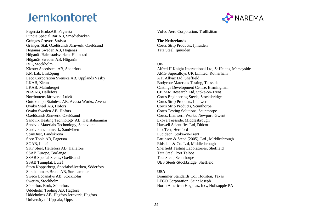Fagersta BruksAB, Fagersta Fundia Special Bar AB, Smedjebacken Gränges Gruvor, Stråssa Gränges Stål, Oxelösunds Järnverk, Oxelösund Höganäs Sweden AB, Höganäs Höganäs Halmstadsverken, Halmstad Höganäs Sweden AB, Höganäs IVL, Stockholm Kloster Speedsteel AB, Söderfors KM Lab, Linköping Leco Corporation Svenska AB, Upplands Väsby LKAB, Kiruna LKAB, Malmberget NASAB, Hällefors Norrbottens Järnverk, Luleå Outokumpu Stainless AB, Avesta Works, Avesta Ovako Steel AB, Hofors Ovako Sweden AB, Hofors Oxelösunds Järnverk, Oxelösund Sandvik Heating Technology AB, Hallstahammar Sandvik Materials Technology, Sandviken Sandvikens Jernverk, Sandviken ScanDust, Landskrona Seco Tools AB, Fagersta SGAB, Luleå SKF Steel, Hellefors AB, Hällefors SSAB Europe, Borlänge SSAB Special Steels, Oxelösund SSAB Tunnplåt, Luleå Stora Kopparberg, Specialstålverken, Söderfors Surahammars Bruks AB, Surahammar Sweco Ecoanalys AB, Stockholm Swerim, Stockholm Söderfors Bruk, Söderfors Uddeholm Tooling AB, Hagfors Uddeholms AB, Hagfors Jernverk, Hagfors University of Uppsala, Uppsala



Volvo Aero Corporation, Trollhättan

**The Netherlands** Corus Strip Products, Ijmuiden Tata Steel, Ijmuiden

#### **UK**

Alfred H Knight International Ltd, St Helens, Merseyside AMG Superalloys UK Limited, Rotherham ATI Allvac Ltd, Sheffield Bodycote Materials Testing, Teesside Castings Development Centre, Birmingham CERAM Research Ltd, Stoke-on-Trent Corus Engineering Steels, Stocksbridge Corus Strip Products, Lianwern Corus Strip Products, Scunthorpe Corus Testing Solutions, Scunthorpe Corus, Llanwern Works, Newport, Gwent Exova Teesside, Middlesbrough Harwell Scientifics Ltd, Didcot IncoTest, Hereford Lucideon, Stoke-on-Trent Pattinson & Stead (2005), Ltd., Middlesbrough Ridsdale & Co. Ltd, Middlesbrough Sheffield Testing Laboratories, Sheffield Tata Steel, Port Talbot Tata Steel, Scunthorpe UES Steels-Stockbridge, Sheffield

#### **USA**

Brammer Standards Co., Houston, Texas LECO Corporation, Saint Joseph North American Hoganas, Inc., Hollsopple PA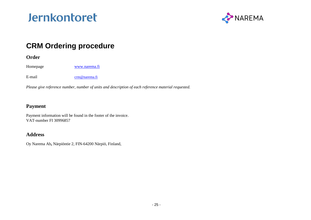

## **CRM Ordering procedure**

### **Order**

Homepage [www.narema.fi](http://www.narema.fi/)

E-mail [crm@narema.fi](mailto:crm@swerim.se)

*Please give reference number, number of units and description of each reference material requested.*

### **Payment**

Payment information will be found in the footer of the invoice. VAT-number FI 30996857

### **Address**

Oy Narema Ab**,** Närpiöntie 2, FIN-64200 Närpiö, Finland,